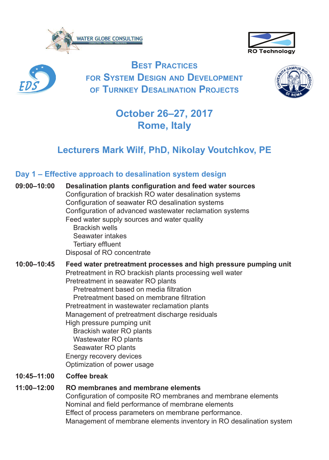





**Best Practices for system Design anD DeveloPment of turnkey Desalination Projects**



# **October 26–27, 2017 Rome, Italy**

## **Lecturers Mark Wilf, PhD, Nikolay Voutchkov, PE**

### **Day 1 – Effective approach to desalination system design**

| 09:00-10:00 | Desalination plants configuration and feed water sources<br>Configuration of brackish RO water desalination systems<br>Configuration of seawater RO desalination systems<br>Configuration of advanced wastewater reclamation systems<br>Feed water supply sources and water quality<br><b>Brackish wells</b><br>Seawater intakes<br>Tertiary effluent<br>Disposal of RO concentrate                                                                                                                                            |
|-------------|--------------------------------------------------------------------------------------------------------------------------------------------------------------------------------------------------------------------------------------------------------------------------------------------------------------------------------------------------------------------------------------------------------------------------------------------------------------------------------------------------------------------------------|
| 10:00-10:45 | Feed water pretreatment processes and high pressure pumping unit<br>Pretreatment in RO brackish plants processing well water<br>Pretreatment in seawater RO plants<br>Pretreatment based on media filtration<br>Pretreatment based on membrane filtration<br>Pretreatment in wastewater reclamation plants<br>Management of pretreatment discharge residuals<br>High pressure pumping unit<br>Brackish water RO plants<br>Wastewater RO plants<br>Seawater RO plants<br>Energy recovery devices<br>Optimization of power usage |
| 10:45-11:00 | Coffee break                                                                                                                                                                                                                                                                                                                                                                                                                                                                                                                   |

#### **11:00–12:00 RO membranes and membrane elements**

Configuration of composite RO membranes and membrane elements Nominal and field performance of membrane elements Effect of process parameters on membrane performance. Management of membrane elements inventory in RO desalination system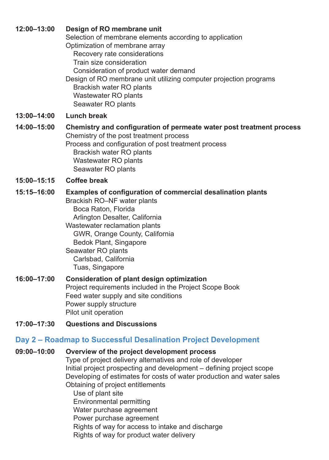| 12:00-13:00                                                    | Design of RO membrane unit<br>Selection of membrane elements according to application<br>Optimization of membrane array<br>Recovery rate considerations<br>Train size consideration<br>Consideration of product water demand<br>Design of RO membrane unit utilizing computer projection programs<br>Brackish water RO plants<br>Wastewater RO plants<br>Seawater RO plants |  |  |
|----------------------------------------------------------------|-----------------------------------------------------------------------------------------------------------------------------------------------------------------------------------------------------------------------------------------------------------------------------------------------------------------------------------------------------------------------------|--|--|
| 13:00-14:00                                                    | Lunch break                                                                                                                                                                                                                                                                                                                                                                 |  |  |
| 14:00-15:00                                                    | Chemistry and configuration of permeate water post treatment process<br>Chemistry of the post treatment process<br>Process and configuration of post treatment process<br>Brackish water RO plants<br>Wastewater RO plants<br>Seawater RO plants                                                                                                                            |  |  |
| 15:00-15:15                                                    | <b>Coffee break</b>                                                                                                                                                                                                                                                                                                                                                         |  |  |
| 15:15-16:00                                                    | Examples of configuration of commercial desalination plants<br>Brackish RO-NF water plants<br>Boca Raton, Florida<br>Arlington Desalter, California<br>Wastewater reclamation plants<br>GWR, Orange County, California<br>Bedok Plant, Singapore<br>Seawater RO plants<br>Carlsbad, California<br>Tuas, Singapore                                                           |  |  |
| 16:00-17:00                                                    | Consideration of plant design optimization<br>Project requirements included in the Project Scope Book<br>Feed water supply and site conditions<br>Power supply structure<br>Pilot unit operation                                                                                                                                                                            |  |  |
| 17:00-17:30                                                    | <b>Questions and Discussions</b>                                                                                                                                                                                                                                                                                                                                            |  |  |
| Day 2 - Roadmap to Successful Desalination Project Development |                                                                                                                                                                                                                                                                                                                                                                             |  |  |

#### **09:00–10:00 Overview of the project development process**

Type of project delivery alternatives and role of developer Initial project prospecting and development – defining project scope Developing of estimates for costs of water production and water sales Obtaining of project entitlements Use of plant site Environmental permitting Water purchase agreement Power purchase agreement

Rights of way for access to intake and discharge

Rights of way for product water delivery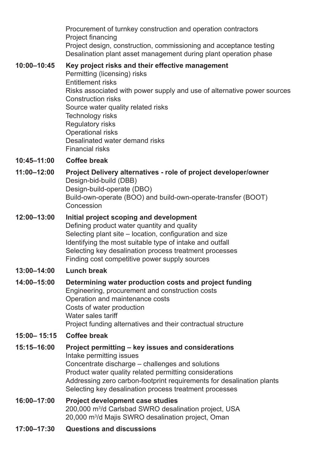Procurement of turnkey construction and operation contractors Project financing Project design, construction, commissioning and acceptance testing Desalination plant asset management during plant operation phase

### **10:00–10:45 Key project risks and their effective management**

Permitting (licensing) risks Entitlement risks Risks associated with power supply and use of alternative power sources Construction risks Source water quality related risks Technology risks Regulatory risks Operational risks Desalinated water demand risks Financial risks

#### **10:45–11:00 Coffee break**

**11:00–12:00 Project Delivery alternatives - role of project developer/owner** Design-bid-build (DBB) Design-build-operate (DBO) Build-own-operate (BOO) and build-own-operate-transfer (BOOT) Concession

#### **12:00–13:00 Initial project scoping and development** Defining product water quantity and quality Selecting plant site – location, configuration and size Identifying the most suitable type of intake and outfall Selecting key desalination process treatment processes Finding cost competitive power supply sources

#### **13:00–14:00 Lunch break**

#### **14:00–15:00 Determining water production costs and project funding** Engineering, procurement and construction costs Operation and maintenance costs Costs of water production Water sales tariff Project funding alternatives and their contractual structure

#### **15:00– 15:15 Coffee break**

**15:15–16:00 Project permitting – key issues and considerations** Intake permitting issues Concentrate discharge – challenges and solutions Product water quality related permitting considerations Addressing zero carbon-footprint requirements for desalination plants Selecting key desalination process treatment processes

#### **16:00–17:00 Project development case studies** 200,000 m<sup>3</sup> /d Carlsbad SWRO desalination project, USA 20,000 m<sup>3</sup> /d Majis SWRO desalination project, Oman

**17:00–17:30 Questions and discussions**